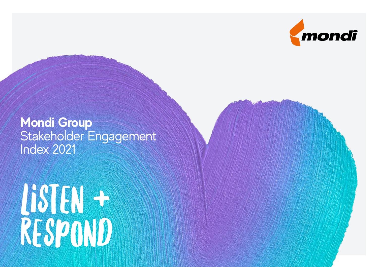

## **Mondi Group**  Stakeholder Engagement Index 2021

# Listen + Respond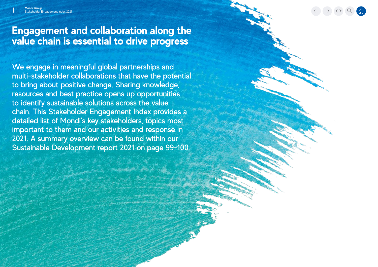$\rightarrow$  (  $\alpha$  )  $\alpha$ 

### **Engagement and collaboration along the value chain is essential to drive progress**

We engage in meaningful global partnerships and multi-stakeholder collaborations that have the potential to bring about positive change. Sharing knowledge, resources and best practice opens up opportunities to identify sustainable solutions across the value chain. This Stakeholder Engagement Index provides a detailed list of Mondi's key stakeholders, topics most important to them and our activities and response in 2021. A summary overview can be found within our Sustainable Development report 2021 on page 99-100.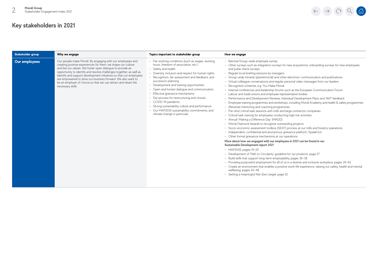| Stakeholder group | Why we engage                                                                                                                                                                                                                                                                                                                                                                                                                                                                               | Topics important to stakeholder group                                                                                                                                                                                                                                                                                                                                                                                                                                                                                                                                                       | How we engage                                                                                                                                                                                                                                                                                                                                                                                                                                                                                                                                                                                                                                                                                                                                                                                                                                                                                                                                                                                                                                                                                                                                                                                                                                                                                                                                                                                                                                                                                                                                                                                                                                                                                                                                                                                                                                                                                                                                                                 |
|-------------------|---------------------------------------------------------------------------------------------------------------------------------------------------------------------------------------------------------------------------------------------------------------------------------------------------------------------------------------------------------------------------------------------------------------------------------------------------------------------------------------------|---------------------------------------------------------------------------------------------------------------------------------------------------------------------------------------------------------------------------------------------------------------------------------------------------------------------------------------------------------------------------------------------------------------------------------------------------------------------------------------------------------------------------------------------------------------------------------------------|-------------------------------------------------------------------------------------------------------------------------------------------------------------------------------------------------------------------------------------------------------------------------------------------------------------------------------------------------------------------------------------------------------------------------------------------------------------------------------------------------------------------------------------------------------------------------------------------------------------------------------------------------------------------------------------------------------------------------------------------------------------------------------------------------------------------------------------------------------------------------------------------------------------------------------------------------------------------------------------------------------------------------------------------------------------------------------------------------------------------------------------------------------------------------------------------------------------------------------------------------------------------------------------------------------------------------------------------------------------------------------------------------------------------------------------------------------------------------------------------------------------------------------------------------------------------------------------------------------------------------------------------------------------------------------------------------------------------------------------------------------------------------------------------------------------------------------------------------------------------------------------------------------------------------------------------------------------------------------|
| Our employees     | Our people make Mondi. By engaging with our employees and<br>creating positive experiences for them, we shape our culture<br>and live our values. We foster open dialogue to provide an<br>opportunity to identify and resolve challenges together, as well as<br>identify and support development initiatives so that our employees<br>are empowered to drive our business forward. We also want to<br>be an employer of choice so that we can attract and retain the<br>necessary skills. | - Fair working conditions (such as wages, working<br>hours, freedom of association, etc.)<br>- Safety and health<br>- Diversity, inclusion and respect for human rights<br>- Recognition, fair assessment and feedback, and<br>succession planning<br>- Development and training opportunities<br>Open and honest dialogue and communication<br>- Effective grievance mechanisms<br>- Fair process for restructuring and closure<br>- COVID-19 pandemic<br>- Strong sustainability culture and performance<br>- Our MAP2030 sustainability commitments, and<br>climate change in particular | - Biennial Group-wide employee survey<br>- Other surveys such as integration surveys for new acquisitions, onboarding surveys for new employees<br>and pulse check surveys<br>- Regular local briefing sessions by managers<br>- Group-wide intranet (planetmondi) and other electronic communication and publications<br>- Virtual colleague conversations and regular personal video messages from our leaders<br>- Recognition schemes, e.g. You Make Mondi<br>- Internal conferences and leadership forums such as the European Communication Forum<br>- Labour and trade unions and employee representative bodies<br>- Performance and Development Reviews, Individual Development Plans and 360° feedback<br>- Employee training programmes and workshops, including Mondi Academy and health & safety programmes<br>- (Reverse) mentoring and coaching programmes<br>- Pre-shut critical task sessions with mills and large contractor companies<br>- Critical task training for employees conducting high risk activities<br>- Annual 'Making a Difference Day' (MADD)<br>- Mondi Diamond Awards to recognise outstanding projects<br>- Socio-economic assessment toolbox (SEAT) process at our mills and forestry operations<br>- Independent, confidential and anonymous grievance platform, SpeakOut<br>- Other formal grievance mechanisms at our operations<br>More about how we engaged with our employees in 2021 can be found in our<br>Sustainable Development report 2021<br>$-MAP2030$ , pages $19-20$<br>- Development of 'Path to Circularity' quideline for our products, page 27<br>- Build skills that support long-term employability, pages 36-38<br>- Providing purposeful employment for all of us in a diverse and inclusive workplace, pages 39-42<br>- Create an environment that enables a positive work-life experience, valuing our safety, health and mental<br>wellbeing, pages 43-48<br>- Setting a meaningful Net-Zero target, page 52 |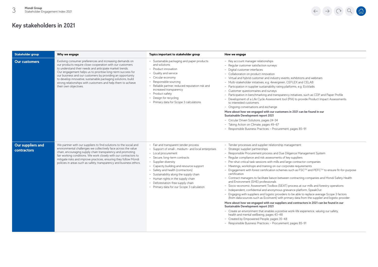| Stakeholder group                       | Why we engage                                                                                                                                                                                                                                                                                                                                                                                                                                                          | Topics important to stakeholder group                                                                                                                                                                                                                                                                                                                                                                                            | How we engage                                                                                                                                                                                                                                                                                                                                                                                                                                                                                                                                                                                                                                                                                                                                                                                                                                                                                                                                                                                                                                                                                                                                                                                                                                                                                                                                                                                                           |
|-----------------------------------------|------------------------------------------------------------------------------------------------------------------------------------------------------------------------------------------------------------------------------------------------------------------------------------------------------------------------------------------------------------------------------------------------------------------------------------------------------------------------|----------------------------------------------------------------------------------------------------------------------------------------------------------------------------------------------------------------------------------------------------------------------------------------------------------------------------------------------------------------------------------------------------------------------------------|-------------------------------------------------------------------------------------------------------------------------------------------------------------------------------------------------------------------------------------------------------------------------------------------------------------------------------------------------------------------------------------------------------------------------------------------------------------------------------------------------------------------------------------------------------------------------------------------------------------------------------------------------------------------------------------------------------------------------------------------------------------------------------------------------------------------------------------------------------------------------------------------------------------------------------------------------------------------------------------------------------------------------------------------------------------------------------------------------------------------------------------------------------------------------------------------------------------------------------------------------------------------------------------------------------------------------------------------------------------------------------------------------------------------------|
| <b>Our customers</b>                    | Evolving consumer preferences and increasing demands on<br>our products require close cooperation with our customers<br>to understand their needs and anticipate market trends.<br>Our engagement helps us to prioritise long-term success for<br>our business and our customers by providing an opportunity<br>to develop innovative, sustainable packaging solutions, build<br>strong relationships with customers and help them to achieve<br>their own objectives. | - Sustainable packaging and paper products<br>and solutions<br>- Product innovation<br>- Quality and service<br>- Circular economy<br>- Responsible sourcing<br>- Reliable partner, reduced reputation risk and<br>increased transparency<br>- Product safety<br>- Design for recycling<br>- Primary data for Scope 3 calculations                                                                                               | - Key account manager relationships<br>- Regular customer satisfaction surveys<br>- Digital customer interfaces<br>- Collaboration on product innovation<br>- Virtual and hybrid customer and industry events, exhibitions and webinars<br>- Multi-stakeholder initiatives, e.g. 4evergreen, CEFLEX and CELAB<br>- Participation in supplier sustainability rating platforms, e.g. EcoVadis<br>- Customer questionnaires and surveys<br>- Participation in benchmarking and transparency initiatives, such as CDP and Paper Profile<br>- Development of a Life Cycle Assessment tool (PIA) to provide Product Impact Assessments<br>to interested customers<br>- Ongoing conversations and exchange<br>More about how we engaged with our customers in 2021 can be found in our<br>Sustainable Development report 2021<br>- Circular Driven Solutions, pages 24-34<br>- Taking Action on Climate, pages 49-67<br>- Responsible Business Practices - Procurement, pages 85-91                                                                                                                                                                                                                                                                                                                                                                                                                                            |
| Our suppliers and<br><b>contractors</b> | We partner with our suppliers to find solutions to the social and<br>environmental challenges we collectively face across the value<br>chain, encouraging supply chain transparency and promoting<br>fair working conditions. We work closely with our contractors to<br>mitigate risks and improve practices, ensuring they follow Mondi<br>policies in areas such as safety, transparency and business ethics.                                                       | - Fair and transparent tender process<br>- Support of small-, medium- and local enterprises<br>- Local procurement<br>- Secure, long-term contracts<br>- Supplier diversity<br>- Capacity building and resource support<br>- Safety and health (contractors)<br>- Sustainability along the supply chain<br>- Human rights in the supply chain<br>- Deforestation-free supply chain<br>- Primary data for our Scope 3 calculation | - Tender processes and supplier relationship management<br>- Strategic supplier partnerships<br>- Responsible Procurement process and Due Diligence Management System<br>- Regular compliance and risk assessments of key suppliers<br>- Pre-shut critical task sessions with mills and large contractor companies<br>- Meetings, workshops and training on our corporate requirements<br>- Engagement with forest certification schemes such as FSC™ and PEFC™ to ensure fit-for-purpose<br>certification<br>- Contract managers to facilitate liaison between contracting companies and Mondi Safety Health<br>and Environment (SHE) professionals<br>- Socio-economic Assessment Toolbox (SEAT) process at our mills and forestry operations<br>- Independent, confidential and anonymous grievance platform, SpeakOut<br>- Engaging with suppliers and logistic providers to be able to replace average Scope 3 factors<br>(from data sources such as Ecoinvent) with primary data from the supplier and logistic provider<br>More about how we engaged with our suppliers and contractors in 2021 can be found in our<br>Sustainable Development report 2021<br>- Create an environment that enables a positive work-life experience, valuing our safety,<br>health and mental wellbeing, pages 43-48<br>- Created by Empowered People, pages 35-48<br>- Responsible Business Practices - Procurement, pages 85-91 |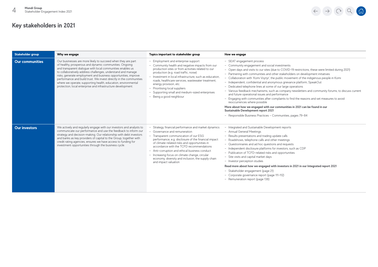| Stakeholder group      | Why we engage                                                                                                                                                                                                                                                                                                                                                                                                                                                                                                                  | Topics important to stakeholder group                                                                                                                                                                                                                                                                                                                                                                                                                                 | How we engage                                                                                                                                                                                                                                                                                                                                                                                                                                                                                                                                                                                                                                                                                                                                                                                                                                                                                                                                                                      |
|------------------------|--------------------------------------------------------------------------------------------------------------------------------------------------------------------------------------------------------------------------------------------------------------------------------------------------------------------------------------------------------------------------------------------------------------------------------------------------------------------------------------------------------------------------------|-----------------------------------------------------------------------------------------------------------------------------------------------------------------------------------------------------------------------------------------------------------------------------------------------------------------------------------------------------------------------------------------------------------------------------------------------------------------------|------------------------------------------------------------------------------------------------------------------------------------------------------------------------------------------------------------------------------------------------------------------------------------------------------------------------------------------------------------------------------------------------------------------------------------------------------------------------------------------------------------------------------------------------------------------------------------------------------------------------------------------------------------------------------------------------------------------------------------------------------------------------------------------------------------------------------------------------------------------------------------------------------------------------------------------------------------------------------------|
| <b>Our communities</b> | Our businesses are more likely to succeed when they are part<br>of healthy, prosperous and dynamic communities. Ongoing<br>and transparent dialogue with local communities enables us<br>to collaboratively address challenges, understand and manage<br>risks, generate employment and business opportunities, improve<br>performance and build trust. We invest directly in the communities<br>where we operate, supporting health, education, environmental<br>protection, local enterprise and infrastructure development. | - Employment and enterprise support<br>- Community health and negative impacts from our<br>production sites or from activities related to our<br>production (e.g. road traffic, noise)<br>- Investment in local infrastructure, such as education.<br>roads, healthcare services, wastewater treatment.<br>energy provision, etc.<br>- Prioritising local suppliers<br>- Supporting small and medium-sized enterprises<br>- Being a good neighbour                    | - SEAT engagement process<br>- Community engagement and social investments<br>- Open days and visits to our sites (due to COVID-19 restrictions, these were limited during 2021)<br>- Partnering with communities and other stakeholders on development initiatives<br>- Collaboration with 'Komi Voytyr', the public movement of the indigenous people in Komi<br>- Independent, confidential and anonymous grievance platform, SpeakOut<br>- Dedicated telephone lines at some of our large operations<br>- Various feedback mechanisms, such as company newsletters and community forums, to discuss current<br>and future operational issues and performance<br>- Engaging with communities after complaints to find the reasons and set measures to avoid<br>reoccurrences where possible<br>More about how we engaged with our communities in 2021 can be found in our<br>Sustainable Development report 2021<br>- Responsible Business Practices - Communities, pages 79-84 |
| <b>Our investors</b>   | We actively and regularly engage with our investors and analysts to<br>communicate our performance and use the feedback to inform our<br>strategy and decision-making. Our relationship with debt investors<br>and banks as key providers of capital to the Group, together with<br>credit rating agencies, ensures we have access to funding for<br>investment opportunities through the business cycle.                                                                                                                      | Strategy, financial performance and market dynamics<br>- Governance and remuneration<br>- Transparent communication of our ESG<br>performance, e.g. disclosure of the financial impact<br>of climate-related risks and opportunities in<br>accordance with the TCFD recommendations<br>- Anti-corruption and ethical business conduct<br>- Increasing focus on climate change, circular<br>economy, diversity and inclusion, the supply chain<br>and impact valuation | - Integrated and Sustainable Development reports<br>- Annual General Meetings<br>- Results presentations and trading update calls<br>- Roadshows, telephone calls and other meetings<br>- Questionnaires and ad hoc questions and requests<br>- Independent disclosure platforms for investors, such as CDP<br>- Publication of TCFD-related risks and opportunities<br>- Site visits and capital market days<br>- Investor perception studies<br>Read more about how we engaged with investors in 2021 in our Integrated report 2021<br>- Stakeholder engagement (page 21)<br>- Corporate governance report (page 111-112)<br>- Remuneration report (page 138)                                                                                                                                                                                                                                                                                                                    |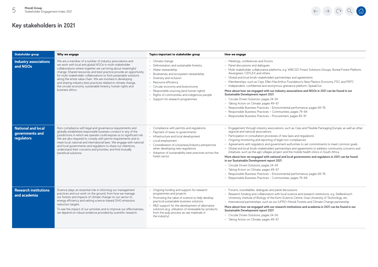

| Stakeholder group                                          | Why we engage                                                                                                                                                                                                                                                                                                                                                                                                                                                                                                                                      | Topics important to stakeholder group                                                                                                                                                                                                                                                                                                                         | How we engage                                                                                                                                                                                                                                                                                                                                                                                                                                                                                                                                                                                                                                                                                                                                                                                                                                                                                                                                                                           |
|------------------------------------------------------------|----------------------------------------------------------------------------------------------------------------------------------------------------------------------------------------------------------------------------------------------------------------------------------------------------------------------------------------------------------------------------------------------------------------------------------------------------------------------------------------------------------------------------------------------------|---------------------------------------------------------------------------------------------------------------------------------------------------------------------------------------------------------------------------------------------------------------------------------------------------------------------------------------------------------------|-----------------------------------------------------------------------------------------------------------------------------------------------------------------------------------------------------------------------------------------------------------------------------------------------------------------------------------------------------------------------------------------------------------------------------------------------------------------------------------------------------------------------------------------------------------------------------------------------------------------------------------------------------------------------------------------------------------------------------------------------------------------------------------------------------------------------------------------------------------------------------------------------------------------------------------------------------------------------------------------|
| <b>Industry associations</b><br>and NGOs                   | We are a member of a number of industry associations and<br>we work with local and global NGOs in multi-stakeholder<br>collaborations where together we can bring about meaningful<br>change. Shared resources and best practice provide an opportunity<br>for multi-stakeholder collaborations to find sustainable solutions<br>along the entire value chain. We are involved in developing<br>and sharing industry best practices related to climate change,<br>the circular economy, sustainable forestry, human rights and<br>business ethics. | - Climate change<br>- Deforestation and sustainable forestry<br>- Water stewardship<br>- Biodiversity and ecosystem stewardship<br>- Diversity and inclusion<br>- Resource efficiency<br>- Circular economy and bioeconomy<br>- Responsible sourcing (and human rights)<br>- Rights of communities and indigenous people<br>- Support for research programmes | - Meetings, conferences and forums<br>- Panel discussions and dialogues<br>- Multi-stakeholder collaborative platforms, e.g. WBCSD Forest Solutions Groups, Boreal Forest Platform,<br>4evergreen, CEFLEX and others<br>- Global and local (multi-stakeholder) partnerships and agreements<br>- Memberships, such as Cepi, Ellen MacArthur Foundation's New Plastics Economy, FSC and PEFC<br>- Independent, confidential and anonymous grievance platform, SpeakOut<br>More about how we engaged with our industry associations and NGOs in 2021 can be found in our<br>Sustainable Development report 2021<br>- Circular Driven Solutions, pages 24-34<br>- Taking Action on Climate, pages 49-67<br>- Responsible Business Practices - Environmental performance, pages 69-76<br>- Responsible Business Practices - Communities, pages 79-84<br>- Responsible Business Practices - Procurement, pages 85-91                                                                          |
| <b>National and local</b><br>governments and<br>regulators | Non-compliance with legal and governance requirements and<br>globally established responsible business conduct in any of the<br>jurisdictions in which we operate could expose us to significant risk.<br>We are also required to comply with permit requirements and to<br>meet local, national and international laws. We engage with national<br>and local governments and regulators to share our intentions,<br>understand their concerns and priorities, and find mutually<br>beneficial solutions.                                          | - Compliance with permits and regulations<br>- Payment of taxes to governments<br>- Infrastructure and local development<br>- Local employment<br>- Consideration of a business/industry perspective<br>when developing new regulations<br>- Adoption of sustainability best practices across the<br>forest sector                                            | - Engagement through industry associations, such as Cepi and Flexible Packaging Europe, as well as other<br>regional and national associations<br>- Participation in consultation processes of new laws and regulations<br>- Ongoing monitoring and reporting of legal non-compliances<br>- Agreements with regulators and government authorities to set commitments to meet common goals<br>- Global and local (multi-stakeholder) partnerships and agreements to address community concerns and<br>initiatives, such as the agri-villages project and the mobile health clinics in South Africa<br>More about how we engaged with national and local governments and regulators in 2021 can be found<br>in our Sustainable Development report 2021<br>- Circular Driven Solutions, pages 24-34<br>- Taking Action on Climate, pages 49-67<br>- Responsible Business Practices - Environmental performance, pages 69-76<br>- Responsible Business Practices - Communities, pages 79-84 |
| <b>Research institutions</b><br>and academia               | Science plays an essential role in informing our management<br>practices and our work on the ground, from how we manage<br>our forests and impacts of climate change on our sector to<br>energy efficiency and setting science-based GHG emissions<br>reduction targets.<br>To see the impact of our activities and to improve our effectiveness,<br>we depend on robust evidence provided by scientific research.                                                                                                                                 | - Ongoing funding and support for research<br>programmes and projects<br>- Promoting the value of science to help develop<br>practical sustainable business solutions<br>- R&D support for the development of alternative<br>solutions (e.g. utilisation of renewable by-products<br>from the pulp process as raw materials in<br>the industry)               | - Forums, roundtables, dialogues and panel discussions<br>- Research funding and collaboration with local science and research institutions, e.g. Stellenbosch<br>University, Institute of Biology of the Komi Science Centre, Graz University of Technology, etc.<br>- International partnerships, such as our IUFRO-Mondi Forests and Climate Change partnership<br>More about how we engaged with our research institutions and academia in 2021 can be found in our<br>Sustainable Development report 2021<br>- Circular Driven Solutions, pages 24-34<br>- Taking Action on Climate, pages 49-67                                                                                                                                                                                                                                                                                                                                                                                   |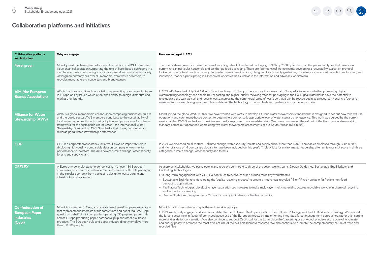

| <b>Collaborative platforms</b><br>and initiatives                               | Why we engage                                                                                                                                                                                                                                                                                                                                                                                                             | How we engaged in 2021                                                                                                                                                                                                                                                                                                                                                                                                                                                                                                                                                                                                                                                                                                                                                |
|---------------------------------------------------------------------------------|---------------------------------------------------------------------------------------------------------------------------------------------------------------------------------------------------------------------------------------------------------------------------------------------------------------------------------------------------------------------------------------------------------------------------|-----------------------------------------------------------------------------------------------------------------------------------------------------------------------------------------------------------------------------------------------------------------------------------------------------------------------------------------------------------------------------------------------------------------------------------------------------------------------------------------------------------------------------------------------------------------------------------------------------------------------------------------------------------------------------------------------------------------------------------------------------------------------|
| <b>4evergreen</b>                                                               | Mondi joined the 4evergreen alliance at its inception in 2019. It is a cross-<br>value chain collaboration supporting the role of fibre-based packaging in a<br>circular economy, contributing to a climate neutral and sustainable society.<br>4evergreen currently has over 90 members, from waste collectors, to<br>recycler, manufacturers, converters and brand owners.                                              | The goal of 4evergreen is to raise the overall recycling rate of fibre-based packaging to 90% by 2030 by focusing on the packaging types that have a low<br>current rate, in particular household and on-the-go food packaging. There are four technical workstreams: developing a recyclability evaluation protocol<br>looking at what is best practice for recycling systems in different regions; designing for circularity guidelines; guidelines for improved collection and sorting; and<br>innovation. Mondi is participating in all technical workstreams as well as in the information and advocacy workstream.                                                                                                                                              |
| <b>AIM (the European</b><br><b>Brands Association)</b>                          | AIM is the European Brands association representing brand manufacturers<br>in Europe on key issues which affect their ability to design, distribute and<br>market their brands.                                                                                                                                                                                                                                           | In 2021, AIM launched HolyGrail 2.0 with Mondi and over 85 other partners across the value chain. Our goal is to assess whether pioneering digital<br>watermarking technology can enable better sorting and higher-quality recycling rates for packaging in the EU. Digital watermarks have the potential to<br>revolutionise the way we sort and recycle waste, increasing the commercial value of waste so that it can be reused again as a resource. Mondi is a founding<br>member and we are playing an active role in validating the technology - running trials with partners across the value chain.                                                                                                                                                           |
| <b>Alliance for Water</b><br><b>Stewardship (AWS)</b>                           | AWS is a global membership collaboration comprising businesses, NGOs<br>and the public sector. AWS members contribute to the sustainability of<br>local water resources through their adoption and promotion of a universal<br>framework for the sustainable use of water - the International Water<br>Stewardship Standard, or AWS Standard - that drives, recognises and<br>rewards good water stewardship performance. | Mondi joined the global AWS in 2020. We have worked with AWS to develop a Group water stewardship standard that is designed to set out how mills will use<br>operation- and catchment-based context to determine a contextually appropriate level of water stewardship response. This work was quided by the current<br>version of the AWS Standard and considers each mill's exposure to water-related risks. We have commenced the roll out of the Group water stewardship<br>standard across our operations, completing two water stewardship assessments of our South African mills in 2021.                                                                                                                                                                      |
| <b>CDP</b>                                                                      | CDP is a corporate transparency initiative. It plays an important role in<br>disclosing high-quality, comparable data on company environmental<br>performance to investors. The data covers climate change, water security,<br>forests and supply chain.                                                                                                                                                                  | In 2021, we disclosed on all metrics - climate change, water security, forests and supply chain. More than 13,000 companies disclosed through CDP in 2021,<br>and Mondi is one of 14 companies globally to have been included on this year's 'Triple A' List for environmental leadership after achieving an A score in all three<br>categories: climate change, water security and forests.                                                                                                                                                                                                                                                                                                                                                                          |
| <b>CEFLEX</b>                                                                   | A Europe-wide, multi-stakeholder consortium of over 180 European<br>companies, which aims to enhance the performance of flexible packaging<br>in the circular economy, from packaging design to waste sorting and<br>infrastructure reprocessing.                                                                                                                                                                         | As a project stakeholder, we participate in and regularly contribute to three of the seven workstreams: Design Guidelines; Sustainable End Markets; and<br>Facilitating Technologies.<br>Our long-term engagement with CEFLEX continues to evolve, focused around three key workstreams:<br>- Sustainable End Markets: developing the 'quality recycling process' to create a mechanical recycled PE or PP resin suitable for flexible non-food<br>packaging applications.<br>- Facilitating Technologies: developing layer separation technologies to make multi-layer, multi-material structures recyclable; polyolefin chemical recycling<br>and technology screening.<br>- Design Guidelines: Designing for a Circular Economy Guidelines for flexible packaging. |
| <b>Confederation of</b><br><b>European Paper</b><br><b>Industries</b><br>(Cepi) | Mondi is a member of Cepi, a Brussels-based, pan-European association<br>that represents the interests of the forest fibre and paper industry. Cepi<br>speaks on behalf of 495 companies operating 895 pulp and paper mills<br>across Europe producing paper, cardboard, pulp and other bio-based<br>products. The European pulp and paper industry directly employs more<br>than 180,000 people.                         | Mondi is part of a number of Cepi's thematic working groups.<br>In 2021, we actively engaged in discussions related to the EU Green Deal, specifically on the EU Forest Strategy and the EU Biodiversity Strategy. We support<br>the forest sector view in favour of continued active use of the European forests by implementing integrated forest management approaches, rather than setting<br>more land aside for conservation. We also continue to support Cepi's call for the EU to place the 'cascading use of wood' principle at the core of its climate<br>and energy policy to promote the most efficient use of the available biomass resource. We also continue to promote the complementary nature of fresh and<br>recycled fibre.                       |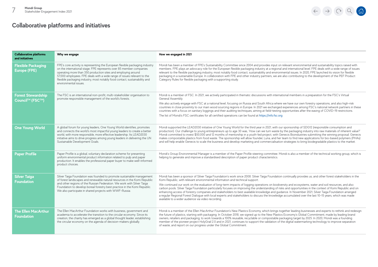

| <b>Collaborative platforms</b><br>and initiatives        | Why we engage                                                                                                                                                                                                                                                                                                                                                                                          | How we engaged in 2021                                                                                                                                                                                                                                                                                                                                                                                                                                                                                                                                                                                                                                                                                                                                                                                  |
|----------------------------------------------------------|--------------------------------------------------------------------------------------------------------------------------------------------------------------------------------------------------------------------------------------------------------------------------------------------------------------------------------------------------------------------------------------------------------|---------------------------------------------------------------------------------------------------------------------------------------------------------------------------------------------------------------------------------------------------------------------------------------------------------------------------------------------------------------------------------------------------------------------------------------------------------------------------------------------------------------------------------------------------------------------------------------------------------------------------------------------------------------------------------------------------------------------------------------------------------------------------------------------------------|
| <b>Flexible Packaging</b><br><b>Europe (FPE)</b>         | FPE's core activity is representing the European flexible packaging industry<br>on the international stage. FPE represents over 85 member companies<br>operating more than 350 production sites and employing around<br>57,000 employees. FPE deals with a wide range of issues relevant to the<br>flexible packaging industry, most notably food contact, sustainability and<br>environmental issues. | Mondi has been a member of FPE's Sustainability Committee since 2004 and provides input on relevant environmental and sustainability topics raised with<br>members. FPE plays an advocacy role for the European flexible packaging industry at a regional and international level. FPE deals with a wide range of issues<br>relevant to the flexible packaging industry, most notably food contact, sustainability and environmental issues. In 2020, FPE launched its vision for flexible<br>packaging in a sustainable Europe. In collaboration with FPE and other industry partners, we are also contributing to the development of the PEF Product<br>Category Rules for flexible packaging with a supporting study.                                                                                |
| <b>Forest Stewardship</b><br>Council <sup>™</sup> (FSC™) | The FSC is an international non-profit, multi-stakeholder organisation to<br>promote responsible management of the world's forests.                                                                                                                                                                                                                                                                    | Mondi is a member of FSC. In 2021, we actively participated in thematic discussions with international members in a preparation for the FSC's Virtual<br>General Assembly.                                                                                                                                                                                                                                                                                                                                                                                                                                                                                                                                                                                                                              |
|                                                          |                                                                                                                                                                                                                                                                                                                                                                                                        | We also actively engage with FSC at a national level, focusing on Russia and South Africa where we have our own forestry operations, and also high-risk<br>countries in close proximity to our main wood sourcing regions in Europe. In 2021 we exchanged experiences among FSC's national network partners in these<br>countries with a focus on sanitary loggings and their auditing techniques, aiming at field-testing opportunities after the easing of COVID-19 restrictions.                                                                                                                                                                                                                                                                                                                     |
|                                                          |                                                                                                                                                                                                                                                                                                                                                                                                        | The list of Mondi's FSC certificates for all certified operations can be found at https://info.fsc.org                                                                                                                                                                                                                                                                                                                                                                                                                                                                                                                                                                                                                                                                                                  |
| <b>One Young World</b>                                   | A global forum for young leaders, One Young World identifies, promotes<br>and connects the world's most impactful young leaders to create a better<br>world, with more responsible, more effective leadership. Its LEAD2030<br>initiative aims to drive progress among young leaders in delivering the UN<br>Sustainable Development Goals.                                                            | Mondi supported the LEAD2030 initiative of One Young World for the third year in 2021, with our sponsorship of SDG12 (responsible consumption and<br>production). Our challenge to young entrepreneurs up to age 30 was, 'How can we turn waste by the packaging industry into raw materials of inherent value?'<br>Mondi committed to invest \$50,000 and 12 months of mentorship in a youth-led project, with Genecis Bioindustries submitting the winning proposal. Genecis<br>makes compostable plastics from food waste. The sponsorship will allow founder, Luna, and her team to find new applications for bio-based polymers (PHAs)<br>and will help enable Genecis to scale the business and develop marketing and commercialisation strategies to bring biodegradable plastics to the market. |
| <b>Paper Profile</b>                                     | Paper Profile is a global, voluntary declaration scheme for presenting<br>uniform environmental product information related to pulp and paper<br>production. It enables the professional paper buyer to make well-informed<br>product choices.                                                                                                                                                         | Mondi's Group Environmental Manager is a member of the Paper Profile steering committee. Mondi is also a member of the technical working group, which is<br>helping to generate and improve a standardised description of paper product characteristics.                                                                                                                                                                                                                                                                                                                                                                                                                                                                                                                                                |
| <b>Silver Taiga</b><br><b>Foundation</b>                 | Silver Taiga Foundation was founded to promote sustainable management<br>of forest landscapes and renewable natural resources in the Komi Republic                                                                                                                                                                                                                                                     | Mondi has been a sponsor of Silver Taiga Foundation's work since 2008. Silver Taiga Foundation continually provides us, and other forest stakeholders in the<br>Komi Republic, with relevant environmental information and technical support.                                                                                                                                                                                                                                                                                                                                                                                                                                                                                                                                                           |
|                                                          | and other regions of the Russian Federation. We work with Silver Taiga<br>Foundation to develop boreal forestry best practice in the Komi Republic.<br>We also participate in shared projects with WWF-Russia.                                                                                                                                                                                         | We continued our work on the evaluation of long-term impacts of logging operations on biodiversity and ecosystems, water and soil resources, and also<br>carbon pools. Silver Taiga Foundation particularly focuses on improving the understanding of risks and opportunities in the context of Komi Republic and on<br>enhancing access of forestry companies and stakeholders to best available knowledge and guidance. In November 2021, Silver Taiga Foundation arranged<br>a regular Regional Forest Dialogue with local experts and stakeholders to discuss the knowledge accumulated over the last 10-15 years, which was made<br>available to a wider audience via video recording.                                                                                                             |
| <b>The Ellen MacArthur</b><br><b>Foundation</b>          | The Ellen MacArthur Foundation works with business, government and<br>academia to accelerate the transition to the circular economy. Since its<br>creation, the charity has emerged as a global thought leader, establishing<br>the circular economy on the agenda of decision-makers globally.                                                                                                        | Mondi is a member of the Ellen MacArthur Foundation's New Plastics Economy, which brings together leading businesses and experts to rethink and redesign<br>the future of plastics, starting with packaging. In October 2018, we signed up to the New Plastics Economy's Global Commitment, made by leading brand<br>owners, retailers and packaging, to work towards a 100% reusable, recyclable or compostable packaging target by 2025. In 2020, Mondi was a founding<br>member of the pioneer project HolyGrail 2.0 and in 2021, continues to support the validation of the digital watermarking technology to improve separation<br>of waste, and report on our progress under the Global Commitment.                                                                                              |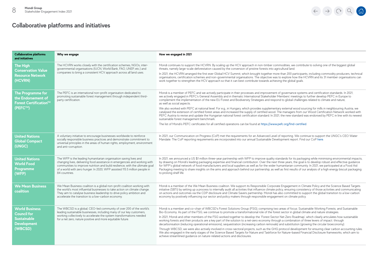| <b>Collaborative platforms</b><br>and initiatives                                                  | Why we engage                                                                                                                                                                                                                                                                                                                   | How we engaged in 2021                                                                                                                                                                                                                                                                                                                                                                                                                                                                                                                                                                                                                                                                                                                                                                                                                                                                                                                                                                                                                                                                                                                                                     |
|----------------------------------------------------------------------------------------------------|---------------------------------------------------------------------------------------------------------------------------------------------------------------------------------------------------------------------------------------------------------------------------------------------------------------------------------|----------------------------------------------------------------------------------------------------------------------------------------------------------------------------------------------------------------------------------------------------------------------------------------------------------------------------------------------------------------------------------------------------------------------------------------------------------------------------------------------------------------------------------------------------------------------------------------------------------------------------------------------------------------------------------------------------------------------------------------------------------------------------------------------------------------------------------------------------------------------------------------------------------------------------------------------------------------------------------------------------------------------------------------------------------------------------------------------------------------------------------------------------------------------------|
| The High<br><b>Conservation Value</b><br><b>Resource Network</b><br>(HCVRN)                        | The HCVRN works closely with the certification schemes, NGOs, inter-<br>governmental organisations (IUCN, World Bank, FAO, UNEP, etc.) and<br>companies to bring a consistent HCV approach across all land uses.                                                                                                                | Mondi continues to support the HCVRN. By scaling up the HCV approach in non-timber commodities, we contribute to solving one of the biggest global<br>threats, namely large-scale deforestation caused by the conversion of pristine forests into agricultural land.<br>In 2021, the HCVRN arranged the first ever Global HCV Summit, which brought together more than 200 participants, including commodity producers, technical<br>organisations, certification schemes and non-governmental organisations. The objective was to explore how the HCVRN and its 31 member organisations can<br>work together to strengthen the HCV approach so that it can best contribute towards achieving the global goals.                                                                                                                                                                                                                                                                                                                                                                                                                                                            |
| The Programme for<br>the Endorsement of<br>Forest Certification™<br>(PEFC™)                        | The PEFC is an international non-profit organisation dedicated to<br>promoting sustainable forest management through independent third-<br>party certification.                                                                                                                                                                 | Mondi is a member of PEFC and we actively participate in their processes and improvement of governance systems and certification standards. In 2021,<br>we actively engaged in PEFC's General Assembly and in thematic International Stakeholder Members' meetings to further develop PEFC in Europe to<br>complement the implementation of the new EU Forest and Biodiversity Strategies and respond to global challenges related to climate and nature,<br>as well as social aspects.<br>We also worked with PEFC at national level. For e.g., in Hungary, which provides supplementary external wood sourcing for mills in neighbouring Austria, we<br>catalysed the extension of certified forest areas and increased the supply of certified wood. The managers from our Wood Certification Network worked with<br>PEFC Austria to revise and update the Hungarian national forest certification standard. In 2021, the new standard was endorsed by PEFC in line with its newest<br>sustainable forest management benchmark.<br>The list of Mondi's PEFC certificates for all certified operations can be found at https://www.pefc.org/find-certified.              |
| <b>United Nations</b><br><b>Global Compact</b><br>(UNGC)                                           | A voluntary initiative to encourage businesses worldwide to reinforce<br>socially responsible business practices and demonstrate commitment to<br>universal principles in the areas of human rights, employment, environment<br>and anti-corruption.                                                                            | In 2021, our Communication on Progress (CoP) met the requirements for an Advanced Level of reporting. We continue to support the UNGC's CEO Water<br>Mandate. The CoP reporting requirements are incorporated into our annual Sustainable Development report. Find our CoP here.                                                                                                                                                                                                                                                                                                                                                                                                                                                                                                                                                                                                                                                                                                                                                                                                                                                                                           |
| <b>United Nations</b><br><b>World Food</b><br><b>Programme</b><br>(WFP)                            | The WFP is the leading humanitarian organisation saving lives and<br>changing lives, delivering food assistance in emergencies and working with<br>communities to improve nutrition and build resilience, with the ultimate goal<br>of a world with zero hunger. In 2020, WFP assisted 115.5 million people in<br>84 countries. | In 2021, we announced a US \$1 million three-year partnership with WFP to improve quality standards for its packaging while minimising environmental impacts,<br>by drawing on Mondi's leading packaging expertise and financial contribution. Over the next three years, the goal is to develop robust and effective quidance<br>for WFP's global network of food manufacturers and local suppliers as well as for the wider humanitarian community. In 2021, we participated at a Food Aid<br>Packaging meeting to share insights on the aims and approach behind our partnership, as well as first results of our analysis of a high energy biscuit packaging<br>to prolong shelf life.                                                                                                                                                                                                                                                                                                                                                                                                                                                                                 |
| <b>We Mean Business</b><br>coalition                                                               | We Mean Business coalition is a global non-profit coalition working with<br>the world's most influential businesses to take action on climate change.<br>They aim to catalyse business leadership to drive policy ambition and<br>accelerate the transition to a low-carbon economy.                                            | Mondi is a member of the We Mean Business coalition. We support its Responsible Corporate Engagement in Climate Policy and the Science Based Targets<br>initiative (SBTi) by setting up a process to internally audit all activities that influence climate policy, ensuring consistency of those activities and communicating<br>on actions and outcomes via the CDP disclosure and Climate Savers partnership. Mondi has also committed to support the global transition to a low-carbon<br>economy by positively influencing our sector and policy makers through responsible engagement on climate policy.                                                                                                                                                                                                                                                                                                                                                                                                                                                                                                                                                             |
| <b>World Business</b><br><b>Council for</b><br><b>Sustainable</b><br><b>Development</b><br>(WBCSD) | The WBCSD is a global, CEO-led community of over 200 of the world's<br>leading sustainable businesses, including many of our key customers,<br>working collectively to accelerate the system transformations needed<br>for a net zero, nature positive and more equitable future.                                               | Mondi is a member and co-chair of WBCSD's Forest Solutions Group (FSG), comprising two areas of focus: Sustainable Working Forests; and Sustainable<br>Bio-Economy. As part of the FSG, we continue to promote a transformational role of the forest sector in global climate and nature strategies.<br>In 2021, Mondi and other members of the FSG worked together to develop the 'Forest Sector Net Zero Roadmap', which clearly articulates how sustainable<br>working forests and their products are a key part of the solution to a net-zero economy through a combination of three levers of impact: through<br>decarbonisation (reducing operational emissions), sequestration (increasing carbon removals) and substitution (growing the circular bioeconomy)<br>Through WBCSD, we were also actively involved in cross-sectoral projects, such as the GHG protocol development for ensuring clear carbon accounting rules.<br>We also engaged in the early stages of the Science Based Targets for Nature and Taskforce for Nature-based Financial Disclosure frameworks, which aim to<br>achieve streamlined guidance on nature-related actions and disclosures. |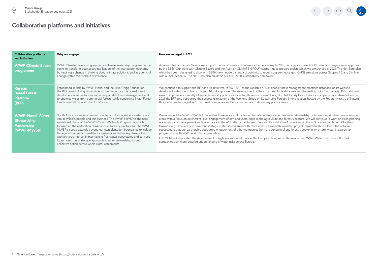

| <b>Collaborative platforms</b><br>and initiatives                         | Why we engage                                                                                                                                                                                                                                                                                                                                                                                                                                                                                                                                                                                                                                      | How we engaged in 2021                                                                                                                                                                                                                                                                                                                                                                                                                                                                                                                                                                                                                                                                                                                                                                                                                                                                                                                                                                                                                                                 |
|---------------------------------------------------------------------------|----------------------------------------------------------------------------------------------------------------------------------------------------------------------------------------------------------------------------------------------------------------------------------------------------------------------------------------------------------------------------------------------------------------------------------------------------------------------------------------------------------------------------------------------------------------------------------------------------------------------------------------------------|------------------------------------------------------------------------------------------------------------------------------------------------------------------------------------------------------------------------------------------------------------------------------------------------------------------------------------------------------------------------------------------------------------------------------------------------------------------------------------------------------------------------------------------------------------------------------------------------------------------------------------------------------------------------------------------------------------------------------------------------------------------------------------------------------------------------------------------------------------------------------------------------------------------------------------------------------------------------------------------------------------------------------------------------------------------------|
| <b>WWF Climate Savers</b><br>programme                                    | WWF Climate Savers programme is a climate leadership programme that<br>seeks to transform businesses into leaders of the low-carbon economy<br>by inspiring a change in thinking about climate solutions, and as agents of<br>change within their sphere of influence.                                                                                                                                                                                                                                                                                                                                                                             | As a member of Climate Savers, we support the transformation to a low-carbon economy. In 2019, our science-based GHG reduction targets were approved<br>by the SBTi <sup>1</sup> . Our work with Climate Savers and the Austrian CLIMATE GROUP support us to prepare a plan, which we announced in 2021. The Net-Zero plan,<br>which has been designed to align with SBTi's new net-zero standard, commits to reducing greenhouse gas (GHG) emissions across Scopes 1, 2 and 3 in line<br>with a 1.5°C scenario. The Net-Zero plan builds on our MAP2030 sustainability framework.                                                                                                                                                                                                                                                                                                                                                                                                                                                                                     |
| <b>Russian</b><br><b>Boreal Forest</b><br><b>Platform</b><br>(BFP)        | Established in 2015 by WWF, Mondi and the Silver Taiga Foundation.<br>the BFP aims to bring stakeholders together across the boreal forest to<br>develop a shared understanding of responsible forest management and<br>to optimise yields from commercial forests, while conserving Intact Forest<br>Landscapes (IFLs) and other HCV areas.                                                                                                                                                                                                                                                                                                       | We continued to support the BFP and its initiatives. In 2021, BFP made available a 'Sustainable forest management practices database' on its website,<br>developed within the Kolarctic project. Mondi supported the development of the structure of this database and the testing of its functionality. This database<br>aims to improve accessibility of available forestry practices, including those we review during BFP field study tours, to forest companies and stakeholders. In<br>2021, the BFP also supported the successful relaunch of the Working Group on Sustainable Forestry Intensification, hosted by the Federal Ministry of Natural<br>Resources, and engaged with the forest companies and forest authorities to define key priority areas.                                                                                                                                                                                                                                                                                                     |
| <b>WWF-Mondi Water</b><br><b>Stewardship</b><br>Partnership<br>(WWF-MWSP) | South Africa is a water-stressed country and freshwater ecosystems are<br>vital to wildlife, people and our business. The WWF-MWSP is the next<br>evolutional phase of the WWF-Mondi Wetlands Programme, which<br>focused on the restoration of wetlands in forestry plantations. The WWF-<br>MWSP's scope extends beyond our own plantation boundaries to include<br>the agricultural sector, small forest growers and other key stakeholders<br>with a shared interest in maintaining freshwater ecosystems and services.<br>It promotes the landscape approach to water stewardship through<br>collective action across whole water catchments. | We extended the WWF-MWSP for a further three years and continued to collaborate for effective water stewardship outcomes in prioritised water source<br>areas, with a focus on catchment-level engagement of key land users, such as the agriculture and forestry sectors. We will continue to work on strengthening<br>water resource management and governance in the uMhlathuze catchment (Zululand Coastal Plain Aquifer) and in the uMkhomazi catchment (Southern<br>Drakensberg). The aim is to have four strategic water source areas with more effective water stewardship project implementation. One of the notable<br>successes is that our partnership supported engagement of other companies from the agricultural and forestry sector in long-term water stewardship<br>programmes with WWF and other organisations.<br>In 2021, Mondi supported the development of high-resolution risk data at the European level within the relaunched WWF Water Risk Filter 6.0 to help<br>companies gain more detailed understanding of water risks across Europe. |